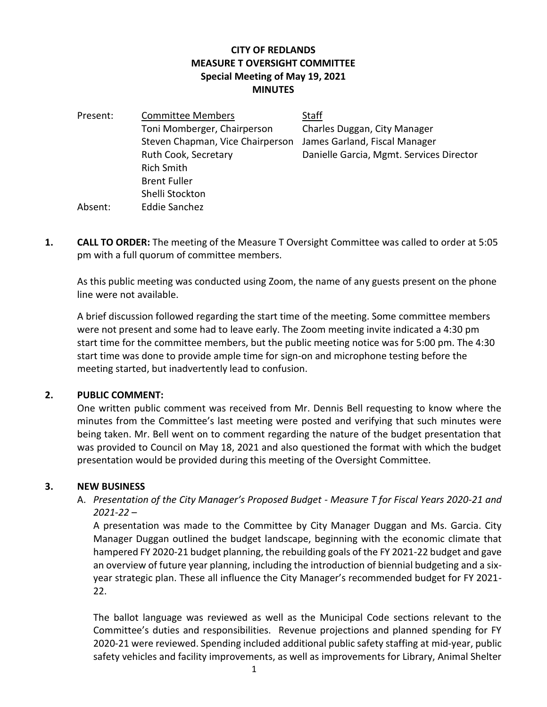## **CITY OF REDLANDS MEASURE T OVERSIGHT COMMITTEE Special Meeting of May 19, 2021 MINUTES**

| Present: | <b>Committee Members</b>         | <b>Staff</b> |
|----------|----------------------------------|--------------|
|          | Toni Momberger, Chairperson      | Charles      |
|          | Steven Chapman, Vice Chairperson | James (      |
|          | Ruth Cook, Secretary             | Danielle     |
|          | <b>Rich Smith</b>                |              |
|          | <b>Brent Fuller</b>              |              |
|          | Shelli Stockton                  |              |
| Absent:  | <b>Eddie Sanchez</b>             |              |

Duggan, City Manager **Sarland, Fiscal Manager** e Garcia, Mgmt. Services Director

**1. CALL TO ORDER:** The meeting of the Measure T Oversight Committee was called to order at 5:05 pm with a full quorum of committee members.

As this public meeting was conducted using Zoom, the name of any guests present on the phone line were not available.

A brief discussion followed regarding the start time of the meeting. Some committee members were not present and some had to leave early. The Zoom meeting invite indicated a 4:30 pm start time for the committee members, but the public meeting notice was for 5:00 pm. The 4:30 start time was done to provide ample time for sign-on and microphone testing before the meeting started, but inadvertently lead to confusion.

## **2. PUBLIC COMMENT:**

One written public comment was received from Mr. Dennis Bell requesting to know where the minutes from the Committee's last meeting were posted and verifying that such minutes were being taken. Mr. Bell went on to comment regarding the nature of the budget presentation that was provided to Council on May 18, 2021 and also questioned the format with which the budget presentation would be provided during this meeting of the Oversight Committee.

## **3. NEW BUSINESS**

A. *Presentation of the City Manager's Proposed Budget - Measure T for Fiscal Years 2020-21 and 2021-22* –

A presentation was made to the Committee by City Manager Duggan and Ms. Garcia. City Manager Duggan outlined the budget landscape, beginning with the economic climate that hampered FY 2020-21 budget planning, the rebuilding goals of the FY 2021-22 budget and gave an overview of future year planning, including the introduction of biennial budgeting and a sixyear strategic plan. These all influence the City Manager's recommended budget for FY 2021- 22.

The ballot language was reviewed as well as the Municipal Code sections relevant to the Committee's duties and responsibilities. Revenue projections and planned spending for FY 2020-21 were reviewed. Spending included additional public safety staffing at mid-year, public safety vehicles and facility improvements, as well as improvements for Library, Animal Shelter